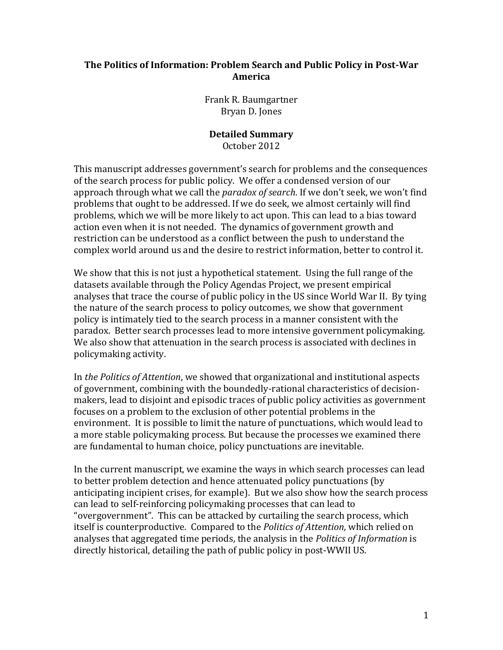#### **The Politics of Information: Problem Search and Public Policy in Post-War America**

Frank R. Baumgartner Bryan D. Jones

#### **Detailed Summary** October 2012

This manuscript addresses government's search for problems and the consequences of the search process for public policy. We offer a condensed version of our approach through what we call the *paradox of search*. If we don't seek, we won't find problems that ought to be addressed. If we do seek, we almost certainly will find problems, which we will be more likely to act upon. This can lead to a bias toward action even when it is not needed. The dynamics of government growth and restriction can be understood as a conflict between the push to understand the complex world around us and the desire to restrict information, better to control it.

We show that this is not just a hypothetical statement. Using the full range of the datasets available through the Policy Agendas Project, we present empirical analyses that trace the course of public policy in the US since World War II. By tying the nature of the search process to policy outcomes, we show that government policy is intimately tied to the search process in a manner consistent with the paradox. Better search processes lead to more intensive government policymaking. We also show that attenuation in the search process is associated with declines in policymaking activity.

In *the Politics of Attention*, we showed that organizational and institutional aspects of government, combining with the boundedly-rational characteristics of decisionmakers, lead to disjoint and episodic traces of public policy activities as government focuses on a problem to the exclusion of other potential problems in the environment. It is possible to limit the nature of punctuations, which would lead to a more stable policymaking process. But because the processes we examined there are fundamental to human choice, policy punctuations are inevitable.

In the current manuscript, we examine the ways in which search processes can lead to better problem detection and hence attenuated policy punctuations (by anticipating incipient crises, for example). But we also show how the search process can lead to self-reinforcing policymaking processes that can lead to "overgovernment". This can be attacked by curtailing the search process, which itself is counterproductive. Compared to the *Politics of Attention*, which relied on analyses that aggregated time periods, the analysis in the *Politics of Information* is directly historical, detailing the path of public policy in post-WWII US.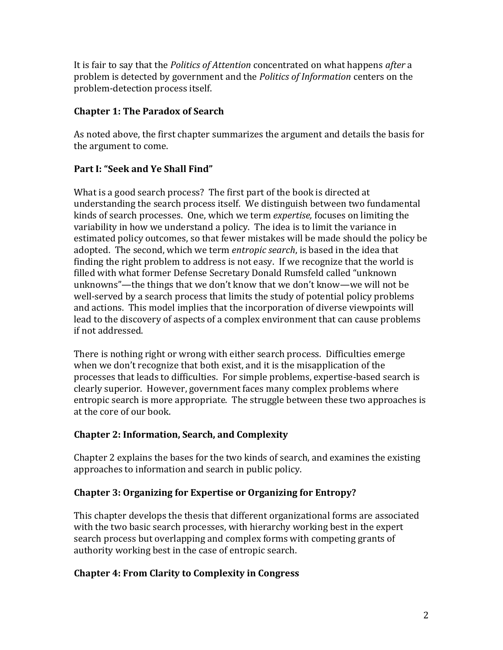It is fair to say that the *Politics of Attention* concentrated on what happens *after* a problem is detected by government and the *Politics of Information* centers on the problem-detection process itself.

## **Chapter 1: The Paradox of Search**

As noted above, the first chapter summarizes the argument and details the basis for the argument to come.

# **Part I: "Seek and Ye Shall Find"**

What is a good search process? The first part of the book is directed at understanding the search process itself. We distinguish between two fundamental kinds of search processes. One, which we term *expertise,* focuses on limiting the variability in how we understand a policy. The idea is to limit the variance in estimated policy outcomes, so that fewer mistakes will be made should the policy be adopted. The second, which we term *entropic search*, is based in the idea that finding the right problem to address is not easy. If we recognize that the world is filled with what former Defense Secretary Donald Rumsfeld called "unknown unknowns"—the things that we don't know that we don't know—we will not be well-served by a search process that limits the study of potential policy problems and actions. This model implies that the incorporation of diverse viewpoints will lead to the discovery of aspects of a complex environment that can cause problems if not addressed.

There is nothing right or wrong with either search process. Difficulties emerge when we don't recognize that both exist, and it is the misapplication of the processes that leads to difficulties. For simple problems, expertise-based search is clearly superior. However, government faces many complex problems where entropic search is more appropriate. The struggle between these two approaches is at the core of our book.

# **Chapter 2: Information, Search, and Complexity**

Chapter 2 explains the bases for the two kinds of search, and examines the existing approaches to information and search in public policy.

# **Chapter 3: Organizing for Expertise or Organizing for Entropy?**

This chapter develops the thesis that different organizational forms are associated with the two basic search processes, with hierarchy working best in the expert search process but overlapping and complex forms with competing grants of authority working best in the case of entropic search.

# **Chapter 4: From Clarity to Complexity in Congress**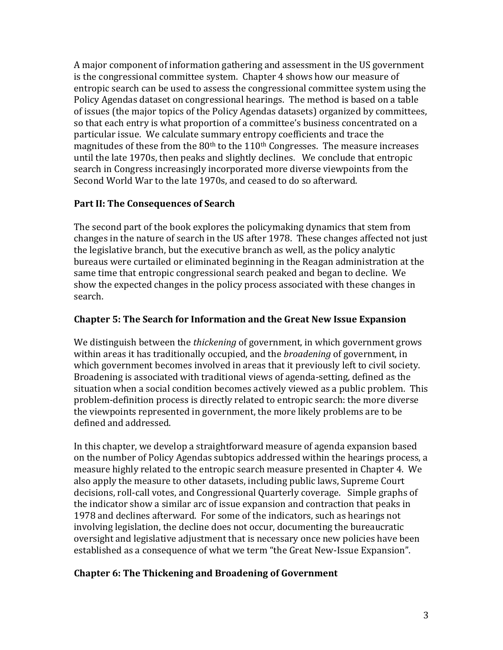A major component of information gathering and assessment in the US government is the congressional committee system. Chapter 4 shows how our measure of entropic search can be used to assess the congressional committee system using the Policy Agendas dataset on congressional hearings. The method is based on a table of issues (the major topics of the Policy Agendas datasets) organized by committees, so that each entry is what proportion of a committee's business concentrated on a particular issue. We calculate summary entropy coefficients and trace the magnitudes of these from the  $80<sup>th</sup>$  to the  $110<sup>th</sup>$  Congresses. The measure increases until the late 1970s, then peaks and slightly declines. We conclude that entropic search in Congress increasingly incorporated more diverse viewpoints from the Second World War to the late 1970s, and ceased to do so afterward.

### **Part II: The Consequences of Search**

The second part of the book explores the policymaking dynamics that stem from changes in the nature of search in the US after 1978. These changes affected not just the legislative branch, but the executive branch as well, as the policy analytic bureaus were curtailed or eliminated beginning in the Reagan administration at the same time that entropic congressional search peaked and began to decline. We show the expected changes in the policy process associated with these changes in search.

#### **Chapter 5: The Search for Information and the Great New Issue Expansion**

We distinguish between the *thickening* of government, in which government grows within areas it has traditionally occupied, and the *broadening* of government, in which government becomes involved in areas that it previously left to civil society. Broadening is associated with traditional views of agenda-setting, defined as the situation when a social condition becomes actively viewed as a public problem. This problem-definition process is directly related to entropic search: the more diverse the viewpoints represented in government, the more likely problems are to be defined and addressed.

In this chapter, we develop a straightforward measure of agenda expansion based on the number of Policy Agendas subtopics addressed within the hearings process, a measure highly related to the entropic search measure presented in Chapter 4. We also apply the measure to other datasets, including public laws, Supreme Court decisions, roll-call votes, and Congressional Quarterly coverage. Simple graphs of the indicator show a similar arc of issue expansion and contraction that peaks in 1978 and declines afterward. For some of the indicators, such as hearings not involving legislation, the decline does not occur, documenting the bureaucratic oversight and legislative adjustment that is necessary once new policies have been established as a consequence of what we term "the Great New-Issue Expansion".

#### **Chapter 6: The Thickening and Broadening of Government**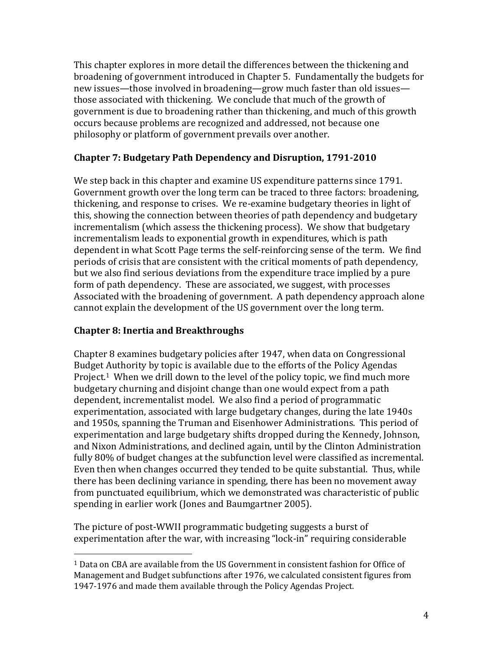This chapter explores in more detail the differences between the thickening and broadening of government introduced in Chapter 5. Fundamentally the budgets for new issues—those involved in broadening—grow much faster than old issues those associated with thickening. We conclude that much of the growth of government is due to broadening rather than thickening, and much of this growth occurs because problems are recognized and addressed, not because one philosophy or platform of government prevails over another.

### **Chapter 7: Budgetary Path Dependency and Disruption, 1791-2010**

We step back in this chapter and examine US expenditure patterns since 1791. Government growth over the long term can be traced to three factors: broadening, thickening, and response to crises. We re-examine budgetary theories in light of this, showing the connection between theories of path dependency and budgetary incrementalism (which assess the thickening process). We show that budgetary incrementalism leads to exponential growth in expenditures, which is path dependent in what Scott Page terms the self-reinforcing sense of the term. We find periods of crisis that are consistent with the critical moments of path dependency, but we also find serious deviations from the expenditure trace implied by a pure form of path dependency. These are associated, we suggest, with processes Associated with the broadening of government. A path dependency approach alone cannot explain the development of the US government over the long term.

### **Chapter 8: Inertia and Breakthroughs**

 $\overline{a}$ 

Chapter 8 examines budgetary policies after 1947, when data on Congressional Budget Authority by topic is available due to the efforts of the Policy Agendas Project.<sup>1</sup> When we drill down to the level of the policy topic, we find much more budgetary churning and disjoint change than one would expect from a path dependent, incrementalist model. We also find a period of programmatic experimentation, associated with large budgetary changes, during the late 1940s and 1950s, spanning the Truman and Eisenhower Administrations. This period of experimentation and large budgetary shifts dropped during the Kennedy, Johnson, and Nixon Administrations, and declined again, until by the Clinton Administration fully 80% of budget changes at the subfunction level were classified as incremental. Even then when changes occurred they tended to be quite substantial. Thus, while there has been declining variance in spending, there has been no movement away from punctuated equilibrium, which we demonstrated was characteristic of public spending in earlier work (Jones and Baumgartner 2005).

The picture of post-WWII programmatic budgeting suggests a burst of experimentation after the war, with increasing "lock-in" requiring considerable

<sup>1</sup> Data on CBA are available from the US Government in consistent fashion for Office of Management and Budget subfunctions after 1976, we calculated consistent figures from 1947-1976 and made them available through the Policy Agendas Project.